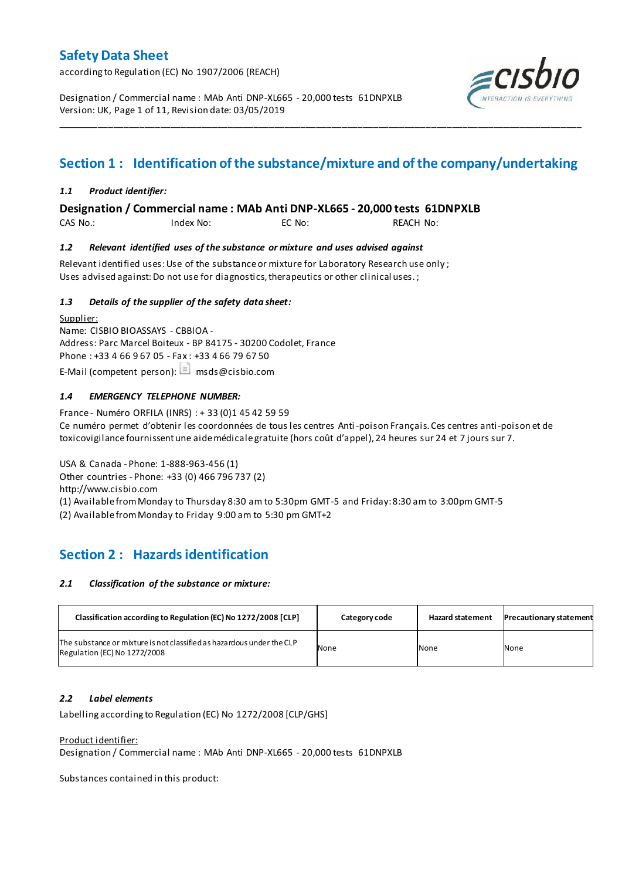according to Regulation (EC) No 1907/2006 (REACH)

Designation / Commercial name : MAb Anti DNP-XL665 - 20,000 tests 61DNPXLB Version: UK, Page 1 of 11, Revision date: 03/05/2019



# **Section 1 : Identification of the substance/mixture and of the company/undertaking**

\_\_\_\_\_\_\_\_\_\_\_\_\_\_\_\_\_\_\_\_\_\_\_\_\_\_\_\_\_\_\_\_\_\_\_\_\_\_\_\_\_\_\_\_\_\_\_\_\_\_\_\_\_\_\_\_\_\_\_\_\_\_\_\_\_\_\_\_\_\_\_\_\_\_\_\_\_\_\_\_\_\_\_\_\_\_\_\_\_\_\_\_\_\_\_\_\_\_\_\_\_

### *1.1 Product identifier:*

**Designation / Commercial name : MAb Anti DNP-XL665 - 20,000 tests 61DNPXLB** 

CAS No.: Index No: EC No: REACH No:

### *1.2 Relevant identified uses of the substance or mixture and uses advised against*

Relevant identified uses: Use of the substance or mixture for Laboratory Research use only ; Uses advised against: Do not use for diagnostics, therapeutics or other clinical uses.;

### *1.3 Details of the supplier of the safety data sheet:*

Supplier: Name: CISBIO BIOASSAYS - CBBIOA - Address: Parc Marcel Boiteux - BP 84175 - 30200 Codolet, France Phone : +33 4 66 9 67 05 - Fax : +33 4 66 79 67 50 E-Mail (competent person):  $\Box$  msds@cisbio.com

### *1.4 EMERGENCY TELEPHONE NUMBER:*

France - Numéro ORFILA (INRS) : + 33 (0)1 45 42 59 59 Ce numéro permet d'obtenir les coordonnées de tous les centres Anti-poison Français. Ces centres anti-poison et de toxicovigilance fournissent une aide médicale gratuite (hors coût d'appel), 24 heures sur 24 et 7 jours sur 7.

USA & Canada - Phone: 1-888-963-456 (1) Other countries - Phone: +33 (0) 466 796 737 (2) http://www.cisbio.com (1) Available from Monday to Thursday 8:30 am to 5:30pm GMT-5 and Friday: 8:30 am to 3:00pm GMT-5

(2) Available from Monday to Friday 9:00 am to 5:30 pm GMT+2

# **Section 2 : Hazards identification**

#### *2.1 Classification of the substance or mixture:*

| Classification according to Regulation (EC) No 1272/2008 [CLP]                                        | Category code | <b>Hazard statement</b> | <b>Precautionary statement</b> |
|-------------------------------------------------------------------------------------------------------|---------------|-------------------------|--------------------------------|
| The substance or mixture is not classified as hazardous under the CLP<br>Regulation (EC) No 1272/2008 | None          | None                    | None                           |

### *2.2 Label elements*

Labelling according to Regulation (EC) No 1272/2008 [CLP/GHS]

Product identifier:

Designation / Commercial name : MAb Anti DNP-XL665 - 20,000 tests 61DNPXLB

Substances contained in this product: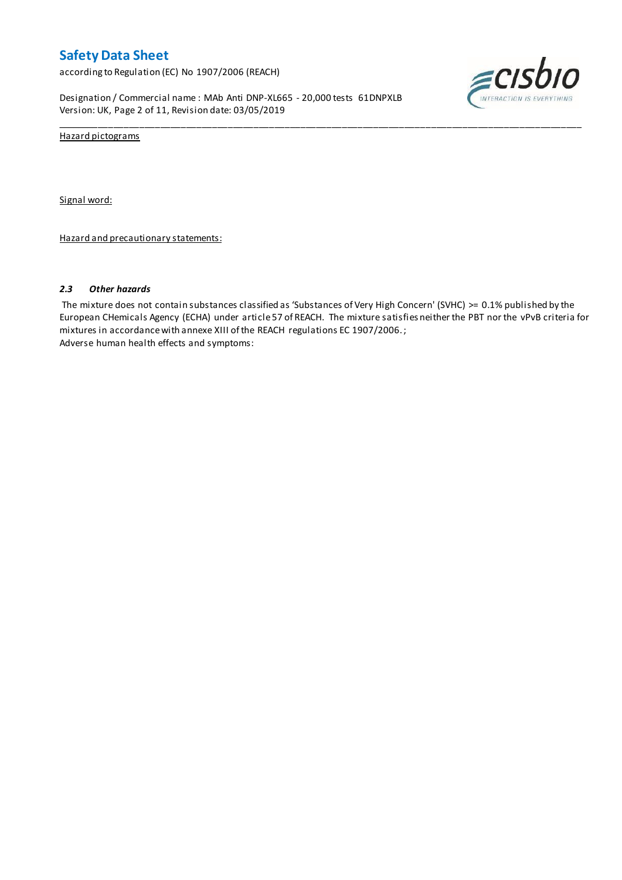according to Regulation (EC) No 1907/2006 (REACH)

Designation / Commercial name : MAb Anti DNP-XL665 - 20,000 tests 61DNPXLB Version: UK, Page 2 of 11, Revision date: 03/05/2019



Hazard pictograms

Signal word:

Hazard and precautionary statements:

#### *2.3 Other hazards*

The mixture does not contain substances classified as 'Substances of Very High Concern' (SVHC) >= 0.1% published by the European CHemicals Agency (ECHA) under article 57 of REACH. The mixture satisfies neither the PBT nor the vPvB criteria for mixtures in accordance with annexe XIII of the REACH regulations EC 1907/2006. ; Adverse human health effects and symptoms:

\_\_\_\_\_\_\_\_\_\_\_\_\_\_\_\_\_\_\_\_\_\_\_\_\_\_\_\_\_\_\_\_\_\_\_\_\_\_\_\_\_\_\_\_\_\_\_\_\_\_\_\_\_\_\_\_\_\_\_\_\_\_\_\_\_\_\_\_\_\_\_\_\_\_\_\_\_\_\_\_\_\_\_\_\_\_\_\_\_\_\_\_\_\_\_\_\_\_\_\_\_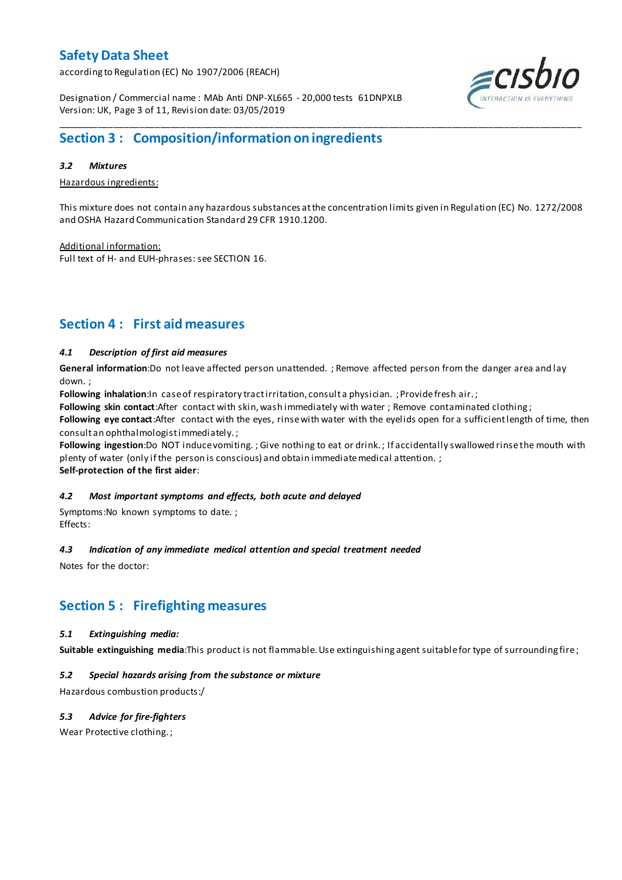according to Regulation (EC) No 1907/2006 (REACH)



Designation / Commercial name : MAb Anti DNP-XL665 - 20,000 tests 61DNPXLB Version: UK, Page 3 of 11, Revision date: 03/05/2019

# **Section 3 : Composition/information on ingredients**

### *3.2 Mixtures*

Hazardous ingredients:

This mixture does not contain any hazardous substances at the concentration limits given in Regulation (EC) No. 1272/2008 and OSHA Hazard Communication Standard 29 CFR 1910.1200.

\_\_\_\_\_\_\_\_\_\_\_\_\_\_\_\_\_\_\_\_\_\_\_\_\_\_\_\_\_\_\_\_\_\_\_\_\_\_\_\_\_\_\_\_\_\_\_\_\_\_\_\_\_\_\_\_\_\_\_\_\_\_\_\_\_\_\_\_\_\_\_\_\_\_\_\_\_\_\_\_\_\_\_\_\_\_\_\_\_\_\_\_\_\_\_\_\_\_\_\_\_

Additional information: Full text of H- and EUH-phrases: see SECTION 16.

# **Section 4 : First aid measures**

### *4.1 Description of first aid measures*

**General information**:Do not leave affected person unattended. ; Remove affected person from the danger area and lay down. ;

Following inhalation:In case of respiratory tract irritation, consult a physician. ; Provide fresh air.;

**Following skin contact**:After contact with skin, wash immediately with water ; Remove contaminated clothing ;

**Following eye contact**:After contact with the eyes, rinse with water with the eyelids open for a sufficient length of time, then consult an ophthalmologist immediately. ;

Following ingestion:Do NOT induce vomiting. ; Give nothing to eat or drink.; If accidentally swallowed rinse the mouth with plenty of water (only if the person is conscious) and obtain immediate medical attention. ; **Self-protection of the first aider**:

# *4.2 Most important symptoms and effects, both acute and delayed*

Symptoms:No known symptoms to date. ; Effects:

### *4.3 Indication of any immediate medical attention and special treatment needed*

Notes for the doctor:

### **Section 5 : Firefighting measures**

### *5.1 Extinguishing media:*

**Suitable extinguishing media**:This product is not flammable. Use extinguishing agent suitable for type of surrounding fire ;

### *5.2 Special hazards arising from the substance or mixture*

Hazardous combustion products:/

### *5.3 Advice for fire-fighters*

Wear Protective clothing. ;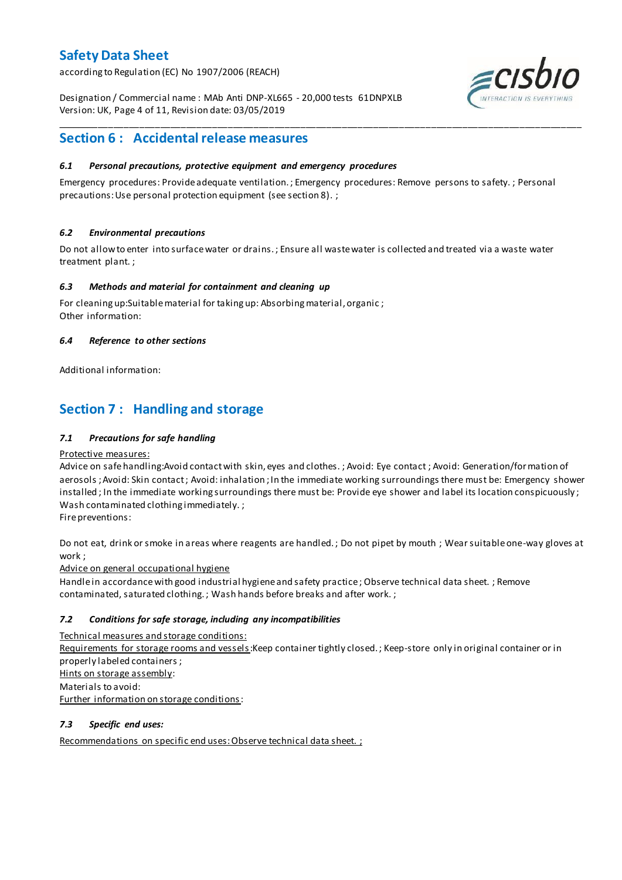according to Regulation (EC) No 1907/2006 (REACH)

Designation / Commercial name : MAb Anti DNP-XL665 - 20,000 tests 61DNPXLB Version: UK, Page 4 of 11, Revision date: 03/05/2019



# **Section 6 : Accidental release measures**

### *6.1 Personal precautions, protective equipment and emergency procedures*

Emergency procedures: Provide adequate ventilation. ; Emergency procedures: Remove persons to safety. ; Personal precautions: Use personal protection equipment (see section 8). ;

\_\_\_\_\_\_\_\_\_\_\_\_\_\_\_\_\_\_\_\_\_\_\_\_\_\_\_\_\_\_\_\_\_\_\_\_\_\_\_\_\_\_\_\_\_\_\_\_\_\_\_\_\_\_\_\_\_\_\_\_\_\_\_\_\_\_\_\_\_\_\_\_\_\_\_\_\_\_\_\_\_\_\_\_\_\_\_\_\_\_\_\_\_\_\_\_\_\_\_\_\_

### *6.2 Environmental precautions*

Do not allow to enter into surface water or drains. ; Ensure all waste water is collected and treated via a waste water treatment plant. ;

#### *6.3 Methods and material for containment and cleaning up*

For cleaning up:Suitable material for taking up: Absorbing material, organic ; Other information:

### *6.4 Reference to other sections*

Additional information:

# **Section 7 : Handling and storage**

### *7.1 Precautions for safe handling*

#### Protective measures:

Advice on safe handling:Avoid contact with skin, eyes and clothes. ; Avoid: Eye contact ; Avoid: Generation/formation of aerosols ; Avoid: Skin contact ; Avoid: inhalation ; In the immediate working surroundings there must be: Emergency shower installed ; In the immediate working surroundings there must be: Provide eye shower and label its location conspicuously ; Wash contaminated clothing immediately. ;

Fire preventions:

Do not eat, drink or smoke in areas where reagents are handled. ; Do not pipet by mouth ; Wear suitable one-way gloves at work ;

Advice on general occupational hygiene

Handle in accordance with good industrial hygiene and safety practice ; Observe technical data sheet. ; Remove contaminated, saturated clothing. ; Wash hands before breaks and after work. ;

### *7.2 Conditions for safe storage, including any incompatibilities*

Technical measures and storage conditions:

Requirements for storage rooms and vessels: Keep container tightly closed. ; Keep-store only in original container or in properly labeled containers ; Hints on storage assembly: Materials to avoid: Further information on storage conditions:

#### *7.3 Specific end uses:*

Recommendations on specific end uses: Observe technical data sheet. ;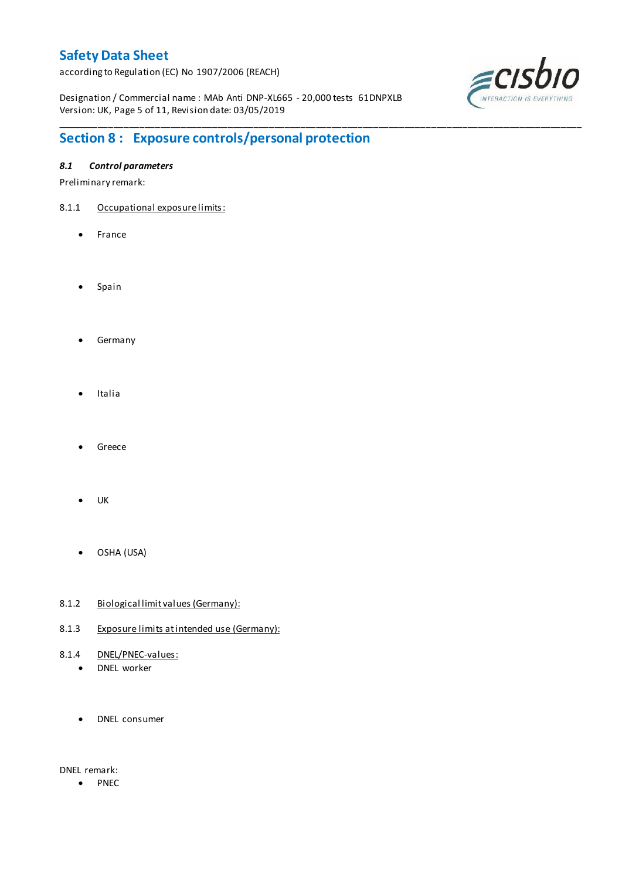according to Regulation (EC) No 1907/2006 (REACH)

Designation / Commercial name : MAb Anti DNP-XL665 - 20,000 tests 61DNPXLB Version: UK, Page 5 of 11, Revision date: 03/05/2019

\_\_\_\_\_\_\_\_\_\_\_\_\_\_\_\_\_\_\_\_\_\_\_\_\_\_\_\_\_\_\_\_\_\_\_\_\_\_\_\_\_\_\_\_\_\_\_\_\_\_\_\_\_\_\_\_\_\_\_\_\_\_\_\_\_\_\_\_\_\_\_\_\_\_\_\_\_\_\_\_\_\_\_\_\_\_\_\_\_\_\_\_\_\_\_\_\_\_\_\_\_



# **Section 8 : Exposure controls/personal protection**

### *8.1 Control parameters*

Preliminary remark:

- 8.1.1 Occupational exposure limits:
	- France
	- Spain
	- **•** Germany
	- Italia
	- Greece
	- UK
	- OSHA (USA)
- 8.1.2 Biological limit values (Germany):
- 8.1.3 Exposure limits at intended use (Germany):
- 8.1.4 DNEL/PNEC-values:
	- DNEL worker
	- DNEL consumer

DNEL remark:

• PNEC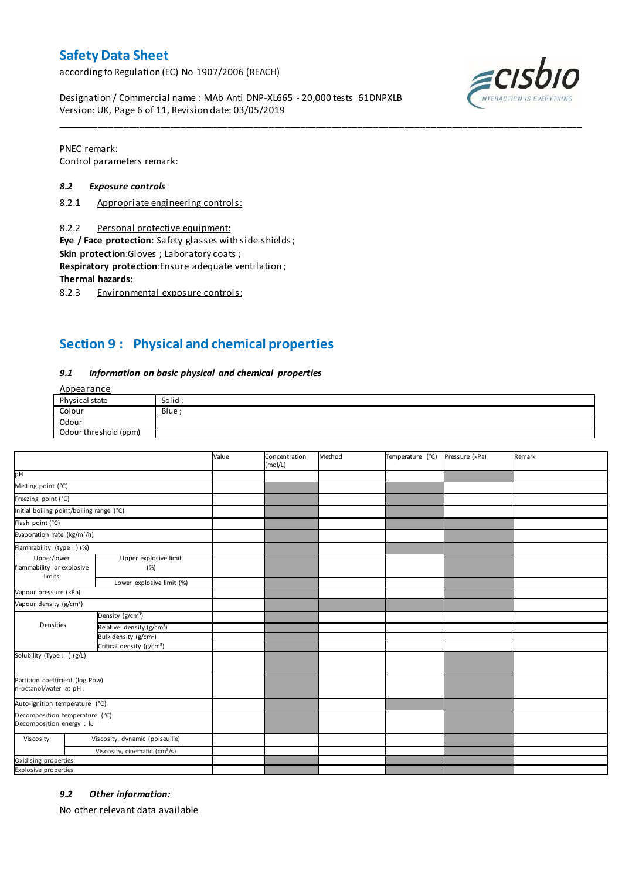according to Regulation (EC) No 1907/2006 (REACH)

 $ECIS$ 

Designation / Commercial name : MAb Anti DNP-XL665 - 20,000 tests 61DNPXLB Version: UK, Page 6 of 11, Revision date: 03/05/2019

PNEC remark: Control parameters remark:

#### *8.2 Exposure controls*

- 8.2.1 Appropriate engineering controls:
- 8.2.2 Personal protective equipment:

**Eye / Face protection**: Safety glasses with side-shields ;

**Skin protection**:Gloves ; Laboratory coats ;

**Respiratory protection**:Ensure adequate ventilation ;

**Thermal hazards**:

8.2.3 Environmental exposure controls:

# **Section 9 : Physical and chemical properties**

#### *9.1 Information on basic physical and chemical properties*

**Annearance** 

| N                     |        |
|-----------------------|--------|
| Physical state        | Solid; |
| Colour                | Blue   |
| Odour                 |        |
| Odour threshold (ppm) |        |

\_\_\_\_\_\_\_\_\_\_\_\_\_\_\_\_\_\_\_\_\_\_\_\_\_\_\_\_\_\_\_\_\_\_\_\_\_\_\_\_\_\_\_\_\_\_\_\_\_\_\_\_\_\_\_\_\_\_\_\_\_\_\_\_\_\_\_\_\_\_\_\_\_\_\_\_\_\_\_\_\_\_\_\_\_\_\_\_\_\_\_\_\_\_\_\_\_\_\_\_\_

|                                                             |                                           | Value | Concentration<br>(mol/L) | Method | Temperature (°C) | Pressure (kPa) | Remark |
|-------------------------------------------------------------|-------------------------------------------|-------|--------------------------|--------|------------------|----------------|--------|
| pн                                                          |                                           |       |                          |        |                  |                |        |
| Melting point (°C)                                          |                                           |       |                          |        |                  |                |        |
| Freezing point (°C)                                         |                                           |       |                          |        |                  |                |        |
| Initial boiling point/boiling range (°C)                    |                                           |       |                          |        |                  |                |        |
| Flash point (°C)                                            |                                           |       |                          |        |                  |                |        |
| Evaporation rate (kg/m <sup>2</sup> /h)                     |                                           |       |                          |        |                  |                |        |
| Flammability (type : ) (%)                                  |                                           |       |                          |        |                  |                |        |
| Upper/lower<br>flammability or explosive<br>limits          | Upper explosive limit<br>(%)              |       |                          |        |                  |                |        |
|                                                             | Lower explosive limit (%)                 |       |                          |        |                  |                |        |
| Vapour pressure (kPa)                                       |                                           |       |                          |        |                  |                |        |
| Vapour density (g/cm <sup>3</sup> )                         |                                           |       |                          |        |                  |                |        |
|                                                             | Density (g/cm <sup>3</sup> )              |       |                          |        |                  |                |        |
| Densities                                                   | Relative density (g/cm <sup>3</sup> )     |       |                          |        |                  |                |        |
|                                                             | Bulk density (g/cm <sup>3</sup> )         |       |                          |        |                  |                |        |
|                                                             | Critical density (g/cm <sup>3</sup> )     |       |                          |        |                  |                |        |
| Solubility (Type: ) (g/L)                                   |                                           |       |                          |        |                  |                |        |
| Partition coefficient (log Pow)<br>n-octanol/water at pH :  |                                           |       |                          |        |                  |                |        |
| Auto-ignition temperature (°C)                              |                                           |       |                          |        |                  |                |        |
| Decomposition temperature (°C)<br>Decomposition energy : kJ |                                           |       |                          |        |                  |                |        |
| Viscosity                                                   | Viscosity, dynamic (poiseuille)           |       |                          |        |                  |                |        |
|                                                             | Viscosity, cinematic (cm <sup>3</sup> /s) |       |                          |        |                  |                |        |
| Oxidising properties                                        |                                           |       |                          |        |                  |                |        |
| <b>Explosive properties</b>                                 |                                           |       |                          |        |                  |                |        |

#### *9.2 Other information:*

No other relevant data available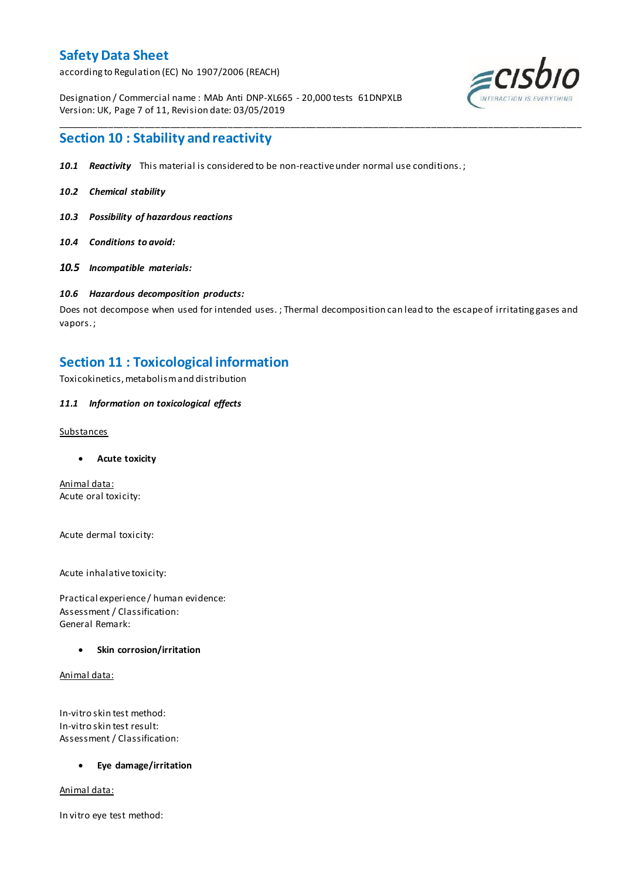according to Regulation (EC) No 1907/2006 (REACH)

Designation / Commercial name : MAb Anti DNP-XL665 - 20,000 tests 61DNPXLB Version: UK, Page 7 of 11, Revision date: 03/05/2019



### **Section 10 : Stability and reactivity**

- *10.1 Reactivity* This material is considered to be non-reactive under normal use conditions. ;
- *10.2 Chemical stability*
- *10.3 Possibility of hazardous reactions*
- *10.4 Conditions to avoid:*
- *10.5 Incompatible materials:*

### *10.6 Hazardous decomposition products:*

Does not decompose when used for intended uses. ; Thermal decomposition can lead to the escape of irritating gases and vapors. ;

\_\_\_\_\_\_\_\_\_\_\_\_\_\_\_\_\_\_\_\_\_\_\_\_\_\_\_\_\_\_\_\_\_\_\_\_\_\_\_\_\_\_\_\_\_\_\_\_\_\_\_\_\_\_\_\_\_\_\_\_\_\_\_\_\_\_\_\_\_\_\_\_\_\_\_\_\_\_\_\_\_\_\_\_\_\_\_\_\_\_\_\_\_\_\_\_\_\_\_\_\_

### **Section 11 : Toxicological information**

Toxicokinetics, metabolism and distribution

### *11.1 Information on toxicological effects*

#### Substances

**Acute toxicity**

Animal data: Acute oral toxicity:

Acute dermal toxicity:

Acute inhalative toxicity:

Practical experience / human evidence: Assessment / Classification: General Remark:

#### **Skin corrosion/irritation**

Animal data:

In-vitro skin test method: In-vitro skin test result: Assessment / Classification:

#### **Eye damage/irritation**

Animal data:

In vitro eye test method: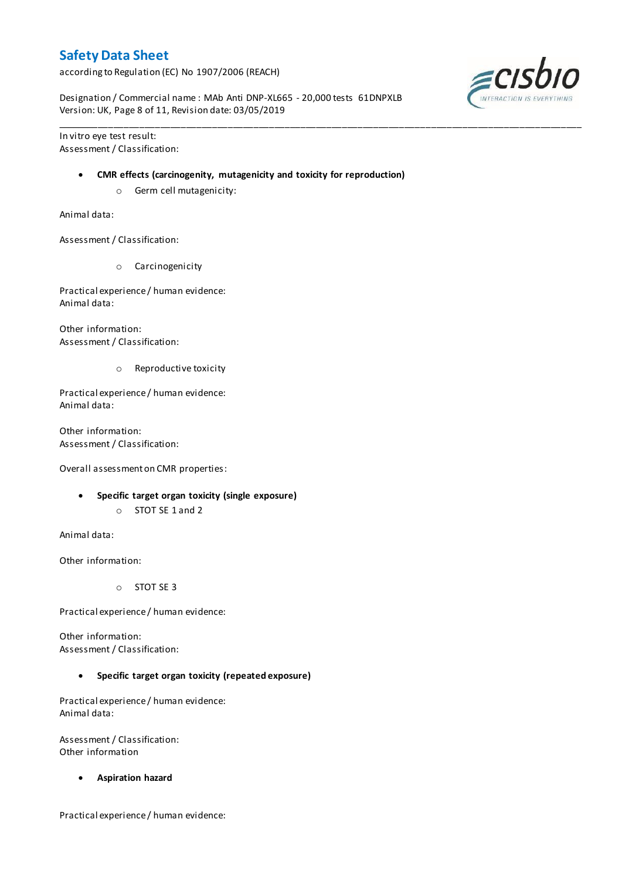according to Regulation (EC) No 1907/2006 (REACH)

Designation / Commercial name : MAb Anti DNP-XL665 - 20,000 tests 61DNPXLB Version: UK, Page 8 of 11, Revision date: 03/05/2019

In vitro eye test result: Assessment / Classification:

#### **CMR effects (carcinogenity, mutagenicity and toxicity for reproduction)**

\_\_\_\_\_\_\_\_\_\_\_\_\_\_\_\_\_\_\_\_\_\_\_\_\_\_\_\_\_\_\_\_\_\_\_\_\_\_\_\_\_\_\_\_\_\_\_\_\_\_\_\_\_\_\_\_\_\_\_\_\_\_\_\_\_\_\_\_\_\_\_\_\_\_\_\_\_\_\_\_\_\_\_\_\_\_\_\_\_\_\_\_\_\_\_\_\_\_\_\_\_

o Germ cell mutagenicity:

Animal data:

Assessment / Classification:

o Carcinogenicity

Practical experience / human evidence: Animal data:

Other information: Assessment / Classification:

o Reproductive toxicity

Practical experience / human evidence: Animal data:

Other information: Assessment / Classification:

Overall assessment on CMR properties:

- **Specific target organ toxicity (single exposure)**
	- o STOT SE 1 and 2

Animal data:

Other information:

o STOT SE 3

Practical experience / human evidence:

Other information: Assessment / Classification:

**Specific target organ toxicity (repeated exposure)**

Practical experience / human evidence: Animal data:

Assessment / Classification: Other information

**Aspiration hazard**

Practical experience / human evidence:

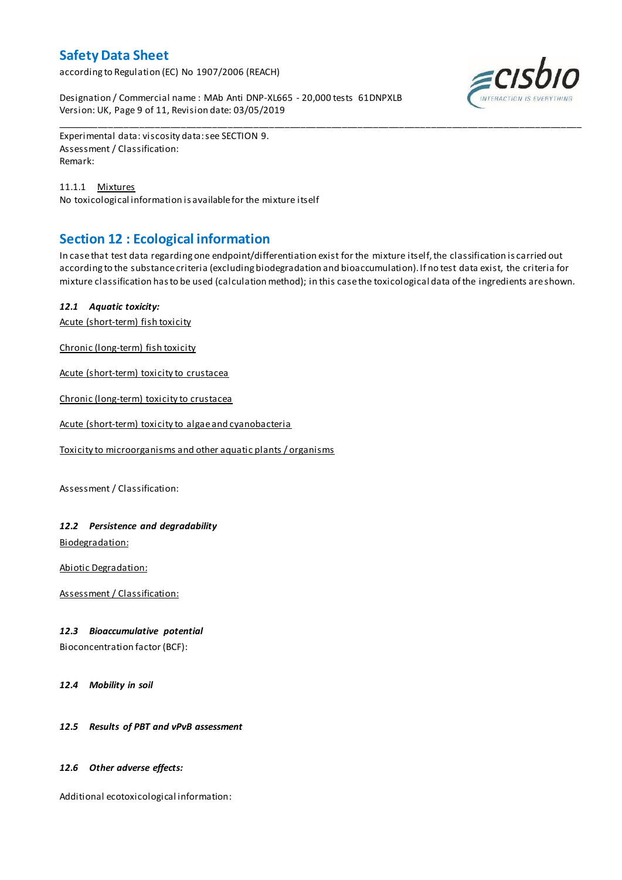according to Regulation (EC) No 1907/2006 (REACH)

Designation / Commercial name : MAb Anti DNP-XL665 - 20,000 tests 61DNPXLB Version: UK, Page 9 of 11, Revision date: 03/05/2019



Experimental data: viscosity data: see SECTION 9. Assessment / Classification: Remark:

11.1.1 Mixtures No toxicological information is available for the mixture itself

# **Section 12 : Ecological information**

In case that test data regarding one endpoint/differentiation exist for the mixture itself, the classification is carried out according to the substance criteria (excluding biodegradation and bioaccumulation). If no test data exist, the criteria for mixture classification has to be used (calculation method); in this case the toxicological data of the ingredients are shown.

\_\_\_\_\_\_\_\_\_\_\_\_\_\_\_\_\_\_\_\_\_\_\_\_\_\_\_\_\_\_\_\_\_\_\_\_\_\_\_\_\_\_\_\_\_\_\_\_\_\_\_\_\_\_\_\_\_\_\_\_\_\_\_\_\_\_\_\_\_\_\_\_\_\_\_\_\_\_\_\_\_\_\_\_\_\_\_\_\_\_\_\_\_\_\_\_\_\_\_\_\_

### *12.1 Aquatic toxicity:*

Acute (short-term) fish toxicity

Chronic (long-term) fish toxicity

Acute (short-term) toxicity to crustacea

Chronic (long-term) toxicity to crustacea

Acute (short-term) toxicity to algae and cyanobacteria

Toxicity to microorganisms and other aquatic plants / organisms

Assessment / Classification:

### *12.2 Persistence and degradability*

Biodegradation:

Abiotic Degradation:

Assessment / Classification:

#### *12.3 Bioaccumulative potential*

Bioconcentration factor (BCF):

*12.4 Mobility in soil*

#### *12.5 Results of PBT and vPvB assessment*

#### *12.6 Other adverse effects:*

Additional ecotoxicological information: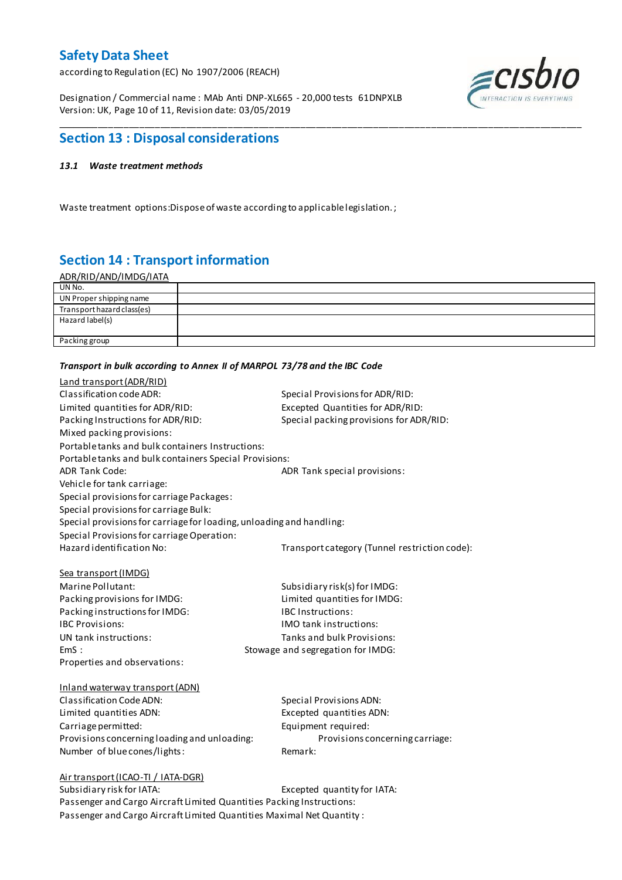according to Regulation (EC) No 1907/2006 (REACH)

Designation / Commercial name : MAb Anti DNP-XL665 - 20,000 tests 61DNPXLB Version: UK, Page 10 of 11, Revision date: 03/05/2019



### **Section 13 : Disposal considerations**

#### *13.1 Waste treatment methods*

Waste treatment options:Dispose of waste according to applicable legislation. ;

# **Section 14 : Transport information**

| <u>ADR/RID/AND/IMDG/IATA</u> |  |
|------------------------------|--|
| UN No.                       |  |
| UN Proper shipping name      |  |
| Transport hazard class(es)   |  |
| Hazard label(s)              |  |
|                              |  |
| Packing group                |  |
|                              |  |

\_\_\_\_\_\_\_\_\_\_\_\_\_\_\_\_\_\_\_\_\_\_\_\_\_\_\_\_\_\_\_\_\_\_\_\_\_\_\_\_\_\_\_\_\_\_\_\_\_\_\_\_\_\_\_\_\_\_\_\_\_\_\_\_\_\_\_\_\_\_\_\_\_\_\_\_\_\_\_\_\_\_\_\_\_\_\_\_\_\_\_\_\_\_\_\_\_\_\_\_\_

#### *Transport in bulk according to Annex II of MARPOL 73/78 and the IBC Code*

| Land transport (ADR/RID)                                             |                                               |
|----------------------------------------------------------------------|-----------------------------------------------|
| Classification code ADR:                                             | Special Provisions for ADR/RID:               |
| Limited quantities for ADR/RID:                                      | Excepted Quantities for ADR/RID:              |
| Packing Instructions for ADR/RID:                                    | Special packing provisions for ADR/RID:       |
| Mixed packing provisions:                                            |                                               |
| Portable tanks and bulk containers Instructions:                     |                                               |
| Portable tanks and bulk containers Special Provisions:               |                                               |
| <b>ADR Tank Code:</b>                                                | ADR Tank special provisions:                  |
| Vehicle for tank carriage:                                           |                                               |
| Special provisions for carriage Packages:                            |                                               |
| Special provisions for carriage Bulk:                                |                                               |
| Special provisions for carriage for loading, unloading and handling: |                                               |
| Special Provisions for carriage Operation:                           |                                               |
| Hazard identification No:                                            | Transport category (Tunnel restriction code): |
|                                                                      |                                               |
| Sea transport (IMDG)                                                 |                                               |
| Marine Pollutant:                                                    | Subsidiary risk(s) for IMDG:                  |
| Packing provisions for IMDG:                                         | Limited quantities for IMDG:                  |
| Packing instructions for IMDG:                                       | <b>IBC Instructions:</b>                      |
| <b>IBC Provisions:</b>                                               | <b>IMO</b> tank instructions:                 |
| UN tank instructions:                                                | Tanks and bulk Provisions:                    |
| EmS:                                                                 | Stowage and segregation for IMDG:             |
| Properties and observations:                                         |                                               |
|                                                                      |                                               |
| Inland waterway transport (ADN)                                      |                                               |
| Classification Code ADN:                                             | <b>Special Provisions ADN:</b>                |
| Limited quantities ADN:                                              | Excepted quantities ADN:                      |
| Carriage permitted:                                                  | Equipment required:                           |
| Provisions concerning loading and unloading:                         | Provisions concerning carriage:               |
| Number of blue cones/lights:                                         | Remark:                                       |
|                                                                      |                                               |
| Air transport (ICAO-TI / IATA-DGR)<br>Subsidiary risk for IATA:      | Excepted quantity for IATA:                   |
|                                                                      |                                               |

Passenger and Cargo Aircraft Limited Quantities Packing Instructions: Passenger and Cargo Aircraft Limited Quantities Maximal Net Quantity :